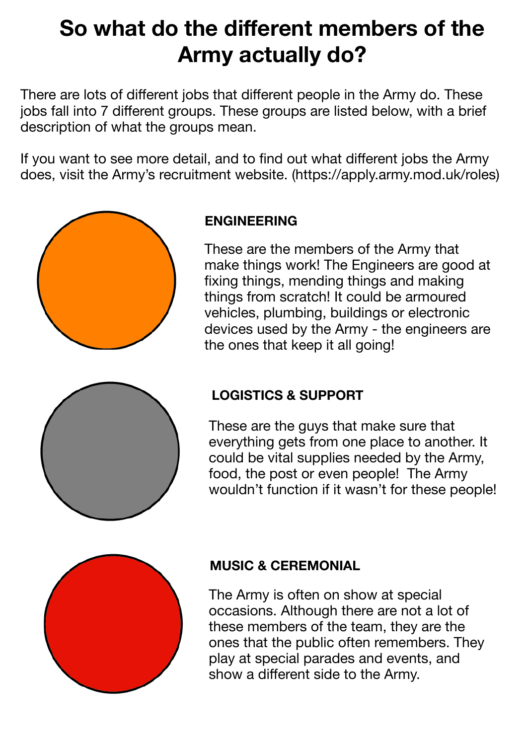# **So what do the different members of the Army actually do?**

There are lots of different jobs that different people in the Army do. These jobs fall into 7 different groups. These groups are listed below, with a brief description of what the groups mean.

If you want to see more detail, and to find out what different jobs the Army does, visit the Army's recruitment website. (https://apply.army.mod.uk/roles)



#### **ENGINEERING**

These are the members of the Army that make things work! The Engineers are good at fixing things, mending things and making things from scratch! It could be armoured vehicles, plumbing, buildings or electronic devices used by the Army - the engineers are the ones that keep it all going!



# **LOGISTICS & SUPPORT**

These are the guys that make sure that everything gets from one place to another. It could be vital supplies needed by the Army, food, the post or even people! The Army wouldn't function if it wasn't for these people!



#### **MUSIC & CEREMONIAL**

The Army is often on show at special occasions. Although there are not a lot of these members of the team, they are the ones that the public often remembers. They play at special parades and events, and show a different side to the Army.